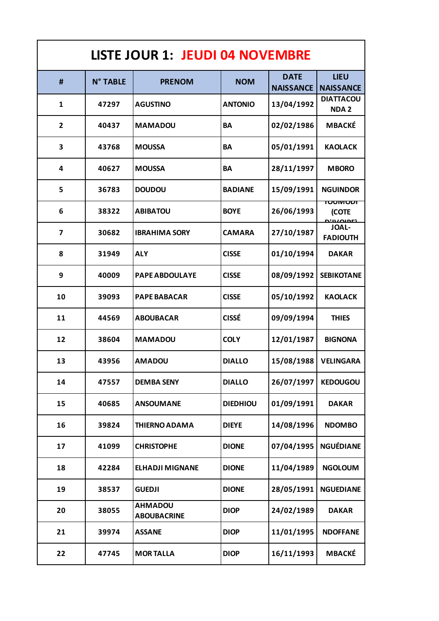| <b>LISTE JOUR 1: JEUDI 04 NOVEMBRE</b> |                 |                                      |                 |                                |                                                     |  |  |  |
|----------------------------------------|-----------------|--------------------------------------|-----------------|--------------------------------|-----------------------------------------------------|--|--|--|
| #                                      | <b>N° TABLE</b> | <b>PRENOM</b>                        | <b>NOM</b>      | <b>DATE</b>                    | LIEU                                                |  |  |  |
| $\mathbf{1}$                           | 47297           | <b>AGUSTINO</b>                      | <b>ANTONIO</b>  | <b>NAISSANCE</b><br>13/04/1992 | <b>NAISSANCE</b><br><b>DIATTACOU</b><br><b>NDA2</b> |  |  |  |
| $\overline{2}$                         | 40437           | <b>MAMADOU</b>                       | <b>BA</b>       | 02/02/1986                     | <b>MBACKÉ</b>                                       |  |  |  |
| 3                                      | 43768           | <b>MOUSSA</b>                        | BA              | 05/01/1991                     | <b>KAOLACK</b>                                      |  |  |  |
| $\overline{\mathbf{4}}$                | 40627           | <b>MOUSSA</b>                        | <b>BA</b>       | 28/11/1997                     | <b>MBORO</b>                                        |  |  |  |
| 5                                      | 36783           | <b>DOUDOU</b>                        | <b>BADIANE</b>  | 15/09/1991                     | <b>NGUINDOR</b>                                     |  |  |  |
| 6                                      | 38322           | <b>ABIBATOU</b>                      | <b>BOYE</b>     | 26/06/1993                     | <del>iooiviooi</del><br>(COTE<br><b>DUVOIDE</b>     |  |  |  |
| $\overline{\mathbf{z}}$                | 30682           | <b>IBRAHIMA SORY</b>                 | <b>CAMARA</b>   | 27/10/1987                     | <b>JOAL-</b><br><b>FADIOUTH</b>                     |  |  |  |
| 8                                      | 31949           | <b>ALY</b>                           | <b>CISSE</b>    | 01/10/1994                     | <b>DAKAR</b>                                        |  |  |  |
| 9                                      | 40009           | <b>PAPE ABDOULAYE</b>                | <b>CISSE</b>    | 08/09/1992                     | <b>SEBIKOTANE</b>                                   |  |  |  |
| 10                                     | 39093           | <b>PAPE BABACAR</b>                  | <b>CISSE</b>    | 05/10/1992                     | <b>KAOLACK</b>                                      |  |  |  |
| 11                                     | 44569           | <b>ABOUBACAR</b>                     | <b>CISSÉ</b>    | 09/09/1994                     | <b>THIES</b>                                        |  |  |  |
| 12                                     | 38604           | <b>MAMADOU</b>                       | <b>COLY</b>     | 12/01/1987                     | <b>BIGNONA</b>                                      |  |  |  |
| 13                                     | 43956           | <b>AMADOU</b>                        | <b>DIALLO</b>   | 15/08/1988                     | <b>VELINGARA</b>                                    |  |  |  |
| 14                                     | 47557           | <b>DEMBA SENY</b>                    | <b>DIALLO</b>   | 26/07/1997                     | <b>KEDOUGOU</b>                                     |  |  |  |
| 15                                     | 40685           | <b>ANSOUMANE</b>                     | <b>DIEDHIOU</b> | 01/09/1991                     | <b>DAKAR</b>                                        |  |  |  |
| 16                                     | 39824           | <b>THIERNO ADAMA</b>                 | <b>DIEYE</b>    | 14/08/1996                     | <b>NDOMBO</b>                                       |  |  |  |
| 17                                     | 41099           | <b>CHRISTOPHE</b>                    | <b>DIONE</b>    | 07/04/1995                     | <b>NGUÉDIANE</b>                                    |  |  |  |
| 18                                     | 42284           | <b>ELHADJI MIGNANE</b>               | <b>DIONE</b>    | 11/04/1989                     | <b>NGOLOUM</b>                                      |  |  |  |
| 19                                     | 38537           | <b>GUEDJI</b>                        | <b>DIONE</b>    | 28/05/1991                     | <b>NGUEDIANE</b>                                    |  |  |  |
| 20                                     | 38055           | <b>AHMADOU</b><br><b>ABOUBACRINE</b> | <b>DIOP</b>     | 24/02/1989                     | <b>DAKAR</b>                                        |  |  |  |
| 21                                     | 39974           | <b>ASSANE</b>                        | <b>DIOP</b>     | 11/01/1995                     | <b>NDOFFANE</b>                                     |  |  |  |
| 22                                     | 47745           | <b>MORTALLA</b>                      | <b>DIOP</b>     | 16/11/1993                     | <b>MBACKÉ</b>                                       |  |  |  |